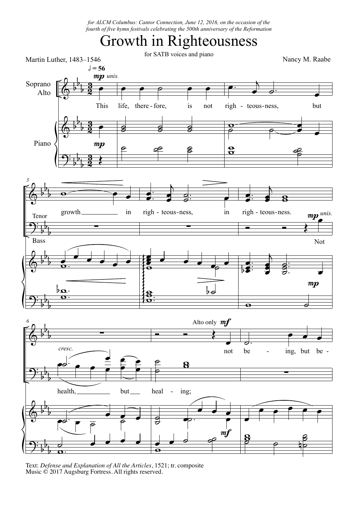*for ALCM Columbus: Cantor Connection, June 12, 2016, on the occasion of the fourth of five hymn festivals celebrating the 500th anniversary of the Reformation*

## Growth in Righteousness



Text: *Defense and Explanation of All the Articles*, 1521; tr. composite Music © 2017 Augsburg Fortress. All rights reserved.